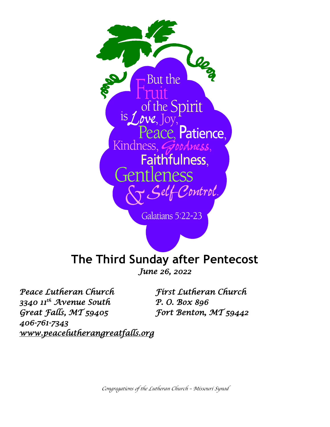

Galatians 5:22-23

# **The Third Sunday after Pentecost**

*June 26, 2022*

*Peace Lutheran Church First Lutheran Church 3340 11th Avenue South P. O. Box 896 Great Falls, MT 59405 Fort Benton, MT 59442 406-761-7343 [www.peacelutherangreatfalls.org](http://www.peacelutherangreatfalls.org/)* 

*Congregations of the Lutheran Church – Missouri Synod*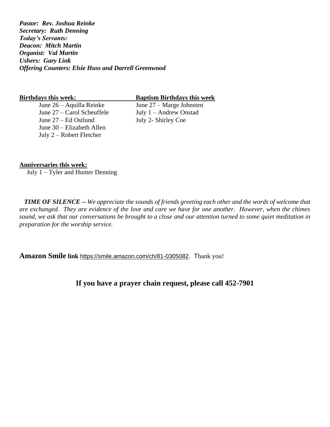*Pastor: Rev. Joshua Reinke Secretary: Ruth Denning Today's Servants: Deacon: Mitch Martin Organist: Val Martin Ushers: Gary Link Offering Counters: Elsie Huss and Darrell Greenwood*

June 26 – Aquilla Reinke June 27 – Marge Johnsten June 27 – Carol Scheuffele July 1 – Andrew Onstad June 27 – Ed Ostlund July 2- Shirley Coe June 30 – Elizabeth Allen July 2 – Robert Fletcher

**Birthdays this week: Baptism Birthdays this week**

### **Anniversaries this week:**

July 1 – Tyler and Hunter Denning

*TIME OF SILENCE -- We appreciate the sounds of friends greeting each other and the words of welcome that are exchanged. They are evidence of the love and care we have for one another. However, when the chimes sound, we ask that our conversations be brought to a close and our attention turned to some quiet meditation in preparation for the worship service.*

**Amazon Smile link** [https://smile.amazon.com/ch/81-0305082](https://www.amazon.com/gp/f.html?C=CWZK0AZZZD4W&K=38682Y5G3WJSR&M=urn:rtn:msg:20201217181543cf9367f51a0b4505a6406cef7080p0na&R=17G707FVBQ34I&T=C&U=https%3A%2F%2Fsmile.amazon.com%2Fch%2F81-0305082%3Fref_%3Dpe_1723670_203812010&H=XTAMXORK3EJTMKAA1PP8JESEWTKA&ref_=pe_1723670_203812010). Thank you!

**If you have a prayer chain request, please call 452-7901**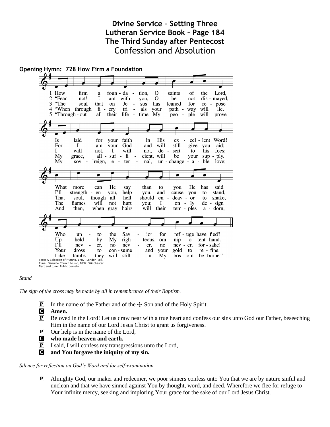# **Divine Service – Setting Three Lutheran Service Book – Page 184 The Third Sunday after Pentecost** Confession and Absolution



### *Stand*

*The sign of the cross may be made by all in remembrance of their Baptism.*

**P** In the name of the Father and of the  $\pm$  Son and of the Holy Spirit.

C **Amen.**

- P Beloved in the Lord! Let us draw near with a true heart and confess our sins unto God our Father, beseeching Him in the name of our Lord Jesus Christ to grant us forgiveness.
- $\boxed{\mathbf{P}}$  Our help is in the name of the Lord,
- C **who made heaven and earth.**
- P I said, I will confess my transgressions unto the Lord,
- C **and You forgave the iniquity of my sin.**

### *Silence for reflection on God's Word and for self-examination.*

P Almighty God, our maker and redeemer, we poor sinners confess unto You that we are by nature sinful and unclean and that we have sinned against You by thought, word, and deed. Wherefore we flee for refuge to Your infinite mercy, seeking and imploring Your grace for the sake of our Lord Jesus Christ.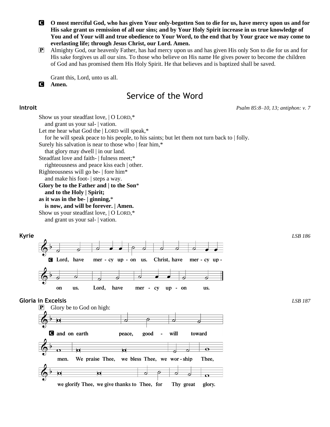C **O most merciful God, who has given Your only-begotten Son to die for us, have mercy upon us and for His sake grant us remission of all our sins; and by Your Holy Spirit increase in us true knowledge of You and of Your will and true obedience to Your Word, to the end that by Your grace we may come to everlasting life; through Jesus Christ, our Lord. Amen.**

P Almighty God, our heavenly Father, has had mercy upon us and has given His only Son to die for us and for His sake forgives us all our sins. To those who believe on His name He gives power to become the children of God and has promised them His Holy Spirit. He that believes and is baptized shall be saved.

Grant this, Lord, unto us all.

C **Amen.**

# Service of the Word

**Introit** *Psalm 85:8–10, 13; antiphon: v. 7*

Show us your steadfast love, | O LORD,\* and grant us your sal- | vation. Let me hear what God the | LORD will speak,\*

for he will speak peace to his people, to his saints; but let them not turn back to | folly.

Surely his salvation is near to those who | fear him,\*

that glory may dwell | in our land.

Steadfast love and faith- | fulness meet;\*

righteousness and peace kiss each | other.

Righteousness will go be- | fore him\* and make his foot- | steps a way.

**Glory be to the Father and | to the Son**\*

**and to the Holy | Spirit;**

**as it was in the be- | ginning,**\*

**is now, and will be forever. | Amen.**

Show us your steadfast love, | O LORD,\*

and grant us your sal- | vation.



 $\mathbf{P}$  Glory be to God on high: d and on earth good will toward peace,  $\overline{\mathbf{e}}$  $\overline{\mathbf{o}}$ Ы We praise Thee, we bless Thee, we wor-ship men. Thee,  $\overline{\mathbf{Q}}$  $\overline{\mathbf{p}}$ we glorify Thee, we give thanks to Thee, for Thy great glory.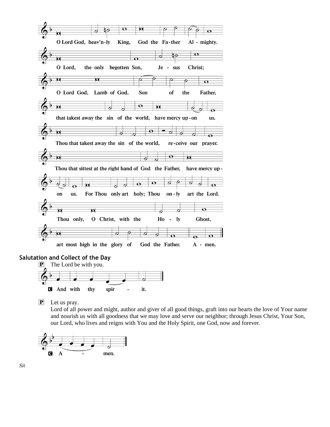

### **Salutation and Collect of the Day**



P Let us pray.

Lord of all power and might, author and giver of all good things, graft into our hearts the love of Your name and nourish us with all goodness that we may love and serve our neighbor; through Jesus Christ, Your Son, our Lord, who lives and reigns with You and the Holy Spirit, one God, now and forever.

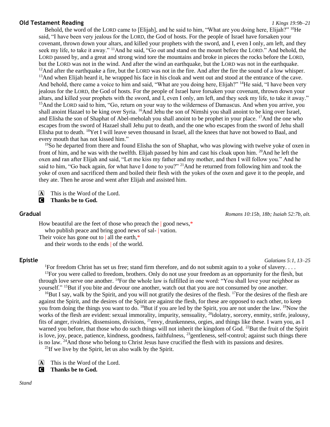### **Old Testament Reading** *1 Kings 19:9b–21*

Behold, the word of the LORD came to [Elijah], and he said to him, "What are you doing here, Elijah?" <sup>10</sup>He said, "I have been very jealous for the LORD, the God of hosts. For the people of Israel have forsaken your covenant, thrown down your altars, and killed your prophets with the sword, and I, even I only, am left, and they seek my life, to take it away." <sup>11</sup>And he said, "Go out and stand on the mount before the LORD." And behold, the LORD passed by, and a great and strong wind tore the mountains and broke in pieces the rocks before the LORD, but the LORD was not in the wind. And after the wind an earthquake, but the LORD was not in the earthquake.  $12$ And after the earthquake a fire, but the LORD was not in the fire. And after the fire the sound of a low whisper. <sup>13</sup>And when Elijah heard it, he wrapped his face in his cloak and went out and stood at the entrance of the cave. And behold, there came a voice to him and said, "What are you doing here, Elijah?" <sup>14</sup>He said, "I have been very jealous for the LORD, the God of hosts. For the people of Israel have forsaken your covenant, thrown down your altars, and killed your prophets with the sword, and I, even I only, am left, and they seek my life, to take it away." <sup>15</sup>And the LORD said to him, "Go, return on your way to the wilderness of Damascus. And when you arrive, you shall anoint Hazael to be king over Syria. <sup>16</sup>And Jehu the son of Nimshi you shall anoint to be king over Israel, and Elisha the son of Shaphat of Abel-meholah you shall anoint to be prophet in your place. <sup>17</sup>And the one who escapes from the sword of Hazael shall Jehu put to death, and the one who escapes from the sword of Jehu shall Elisha put to death. <sup>18</sup>Yet I will leave seven thousand in Israel, all the knees that have not bowed to Baal, and every mouth that has not kissed him."

<sup>19</sup>So he departed from there and found Elisha the son of Shaphat, who was plowing with twelve yoke of oxen in front of him, and he was with the twelfth. Elijah passed by him and cast his cloak upon him.  $^{20}$ And he left the oxen and ran after Elijah and said, "Let me kiss my father and my mother, and then I will follow you." And he said to him, "Go back again, for what have I done to you?" <sup>21</sup>And he returned from following him and took the yoke of oxen and sacrificed them and boiled their flesh with the yokes of the oxen and gave it to the people, and they ate. Then he arose and went after Elijah and assisted him.

 $\overline{A}$  This is the Word of the Lord.

C **Thanks be to God.**

**Gradual** *Romans 10:15b, 18b; Isaiah 52:7b, alt.*

How beautiful are the feet of those who preach the | good news,\* who publish peace and bring good news of sal- vation. Their voice has gone out to | all the earth,\* and their words to the ends | of the world.

**Epistle** *Galatians 5:1, 13–25*

<sup>1</sup>For freedom Christ has set us free; stand firm therefore, and do not submit again to a yoke of slavery....  $13$ For you were called to freedom, brothers. Only do not use your freedom as an opportunity for the flesh, but through love serve one another. <sup>14</sup>For the whole law is fulfilled in one word: "You shall love your neighbor as yourself." <sup>15</sup>But if you bite and devour one another, watch out that you are not consumed by one another.

<sup>16</sup>But I say, walk by the Spirit, and you will not gratify the desires of the flesh. <sup>17</sup>For the desires of the flesh are against the Spirit, and the desires of the Spirit are against the flesh, for these are opposed to each other, to keep you from doing the things you want to do. <sup>18</sup>But if you are led by the Spirit, you are not under the law. <sup>19</sup>Now the works of the flesh are evident: sexual immorality, impurity, sensuality, <sup>20</sup>idolatry, sorcery, enmity, strife, jealousy, fits of anger, rivalries, dissensions, divisions, <sup>21</sup>envy, drunkenness, orgies, and things like these. I warn you, as I warned you before, that those who do such things will not inherit the kingdom of God. <sup>22</sup>But the fruit of the Spirit is love, joy, peace, patience, kindness, goodness, faithfulness, <sup>23</sup>gentleness, self-control; against such things there is no law. <sup>24</sup>And those who belong to Christ Jesus have crucified the flesh with its passions and desires.

 $^{25}$ If we live by the Spirit, let us also walk by the Spirit.

A This is the Word of the Lord.

C **Thanks be to God.**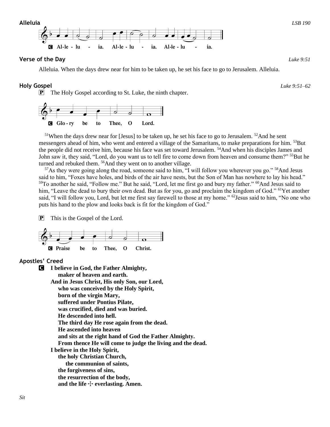**Alleluia** *LSB 190*



Alleluia. When the days drew near for him to be taken up, he set his face to go to Jerusalem. Alleluia.

ia.

Al-le - lu

ia.

# **Holy Gospel** *Luke 9:51–62*

Al-le - lu

P The Holy Gospel according to St. Luke, the ninth chapter.

Al-le - lu



ia.

<sup>51</sup>When the days drew near for [Jesus] to be taken up, he set his face to go to Jerusalem. <sup>52</sup>And he sent messengers ahead of him, who went and entered a village of the Samaritans, to make preparations for him. <sup>53</sup>But the people did not receive him, because his face was set toward Jerusalem. <sup>54</sup>And when his disciples James and John saw it, they said, "Lord, do you want us to tell fire to come down from heaven and consume them?" <sup>55</sup>But he turned and rebuked them. <sup>56</sup>And they went on to another village.

<sup>57</sup>As they were going along the road, someone said to him, "I will follow you wherever you go." <sup>58</sup>And Jesus said to him, "Foxes have holes, and birds of the air have nests, but the Son of Man has nowhere to lay his head." <sup>59</sup>To another he said, "Follow me." But he said, "Lord, let me first go and bury my father." <sup>60</sup>And Jesus said to him, "Leave the dead to bury their own dead. But as for you, go and proclaim the kingdom of God." <sup>61</sup>Yet another said, "I will follow you, Lord, but let me first say farewell to those at my home." <sup>62</sup>Jesus said to him, "No one who puts his hand to the plow and looks back is fit for the kingdom of God."

P This is the Gospel of the Lord.



# **Apostles' Creed**

C **I believe in God, the Father Almighty, maker of heaven and earth. And in Jesus Christ, His only Son, our Lord, who was conceived by the Holy Spirit, born of the virgin Mary, suffered under Pontius Pilate, was crucified, died and was buried. He descended into hell. The third day He rose again from the dead. He ascended into heaven and sits at the right hand of God the Father Almighty. From thence He will come to judge the living and the dead. I believe in the Holy Spirit, the holy Christian Church, the communion of saints, the forgiveness of sins, the resurrection of the body,** and the life  $\div$  everlasting. Amen.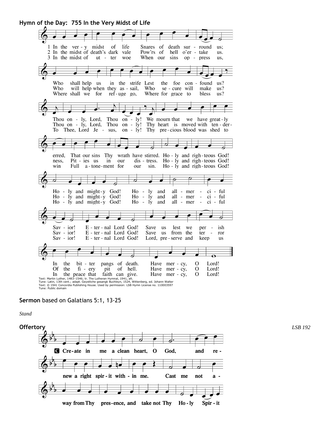**Hymn of the Day: 755 In the Very Midst of Life**



### **Sermon** based on Galatians 5:1, 13-25

*Stand*

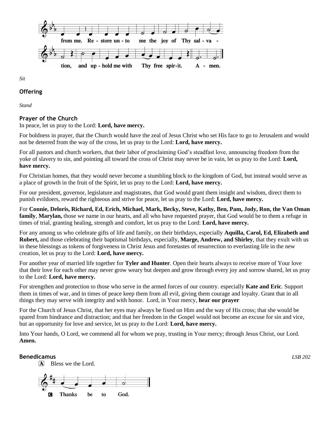

*Sit*

### **Offering**

*Stand*

# **Prayer of the Church**

In peace, let us pray to the Lord: **Lord, have mercy.**

For boldness in prayer, that the Church would have the zeal of Jesus Christ who set His face to go to Jerusalem and would not be deterred from the way of the cross, let us pray to the Lord: **Lord, have mercy.**

For all pastors and church workers, that their labor of proclaiming God's steadfast love, announcing freedom from the yoke of slavery to sin, and pointing all toward the cross of Christ may never be in vain, let us pray to the Lord: **Lord, have mercy.**

For Christian homes, that they would never become a stumbling block to the kingdom of God, but instead would serve as a place of growth in the fruit of the Spirit, let us pray to the Lord: **Lord, have mercy.**

For our president, governor, legislature and magistrates, that God would grant them insight and wisdom, direct them to punish evildoers, reward the righteous and strive for peace, let us pray to the Lord: **Lord, have mercy.**

For **Connie, Deloris, Richard, Ed, Erich, Michael, Mark, Becky, Steve, Kathy, Ben, Pam, Jody, Ron, the Van Oman family**, **Marylan,** those we name in our hearts, and all who have requested prayer, that God would be to them a refuge in times of trial, granting healing, strength and comfort, let us pray to the Lord: **Lord, have mercy.**

For any among us who celebrate gifts of life and family, on their birthdays, especially **Aquilla, Carol, Ed, Elizabeth and Robert,** and those celebrating their baptismal birthdays, especially, **Marge, Andrew, and Shirley**, that they exult with us in these blessings as tokens of forgiveness in Christ Jesus and foretastes of resurrection to everlasting life in the new creation, let us pray to the Lord: **Lord, have mercy.**

For another year of married life together for **Tyler and Hunter**. Open their hearts always to receive more of Your love that their love for each other may never grow weary but deepen and grow through every joy and sorrow shared, let us pray to the Lord: **Lord, have mercy.**

For strengthen and protection to those who serve in the armed forces of our country. especially **Kate and Eric**. Support them in times of war, and in times of peace keep them from all evil, giving them courage and loyalty. Grant that in all things they may serve with integrity and with honor. Lord, in Your mercy, **hear our prayer**

For the Church of Jesus Christ, that her eyes may always be fixed on Him and the way of His cross; that she would be spared from hindrance and distraction; and that her freedom in the Gospel would not become an excuse for sin and vice, but an opportunity for love and service, let us pray to the Lord: **Lord, have mercy.**

Into Your hands, O Lord, we commend all for whom we pray, trusting in Your mercy; through Jesus Christ, our Lord. **Amen.**

**Benedicamus** *LSB 202*

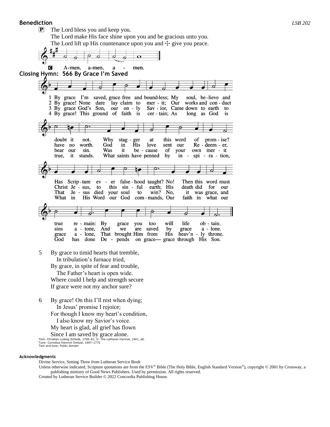### **Benediction** *LSB 202*

P The Lord bless you and keep you.

The Lord make His face shine upon you and be gracious unto you. The Lord lift up His countenance upon you and  $\pm$  give you peace.



 The Father's heart is open wide. Where could I help and strength secure If grace were not my anchor sure?

6 By grace! On this I'll rest when dying; In Jesus' promise I rejoice; For though I know my heart's condition, I also know my Savior's voice.

My heart is glad, all grief has flown

Since I am saved by grace alone.

Text: Christian Ludwig Scheidt, 1709–61; tr. The Lutheran Hymnal, 1941, alt. Tune: Cornelius Heinrich Dretzel, 1697–1775 Text and tune: Public domain

### **Acknowledgments**

Divine Service, Setting Three from Lutheran Service Book

Unless otherwise indicated, Scripture quotations are from the ESV® Bible (The Holy Bible, English Standard Version®), copyright © 2001 by Crossway, a publishing ministry of Good News Publishers. Used by permission. All rights reserved. Created by Lutheran Service Builder © 2022 Concordia Publishing House.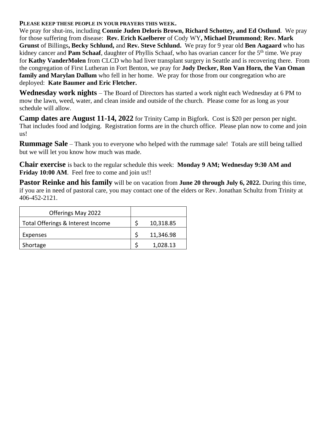# **PLEASE KEEP THESE PEOPLE IN YOUR PRAYERS THIS WEEK.**

We pray for shut-ins, including **Connie Juden Deloris Brown, Richard Schottey, and Ed Ostlund**. We pray for those suffering from disease: **Rev. Erich Kaelberer** of Cody WY**, Michael Drummond**; **Rev. Mark Grunst** of Billings**, Becky Schlund,** and **Rev. Steve Schlund.** We pray for 9 year old **Ben Aagaard** who has kidney cancer and **Pam Schaaf**, daughter of Phyllis Schaaf, who has ovarian cancer for the 5<sup>th</sup> time. We pray for **Kathy VanderMolen** from CLCD who had liver transplant surgery in Seattle and is recovering there. From the congregation of First Lutheran in Fort Benton, we pray for **Jody Decker, Ron Van Horn, the Van Oman family and Marylan Dallum** who fell in her home. We pray for those from our congregation who are deployed: **Kate Baumer and Eric Fletcher.**

**Wednesday work nights** – The Board of Directors has started a work night each Wednesday at 6 PM to mow the lawn, weed, water, and clean inside and outside of the church. Please come for as long as your schedule will allow.

**Camp dates are August 11-14, 2022** for Trinity Camp in Bigfork. Cost is \$20 per person per night. That includes food and lodging. Registration forms are in the church office. Please plan now to come and join us!

**Rummage Sale** – Thank you to everyone who helped with the rummage sale! Totals are still being tallied but we will let you know how much was made.

**Chair exercise** is back to the regular schedule this week: **Monday 9 AM; Wednesday 9:30 AM and Friday 10:00 AM.** Feel free to come and join us!!

**Pastor Reinke and his family** will be on vacation from **June 20 through July 6, 2022.** During this time, if you are in need of pastoral care, you may contact one of the elders or Rev. Jonathan Schultz from Trinity at 406-452-2121.

| Offerings May 2022                |           |
|-----------------------------------|-----------|
| Total Offerings & Interest Income | 10,318.85 |
| Expenses                          | 11,346.98 |
| Shortage                          | 1,028.13  |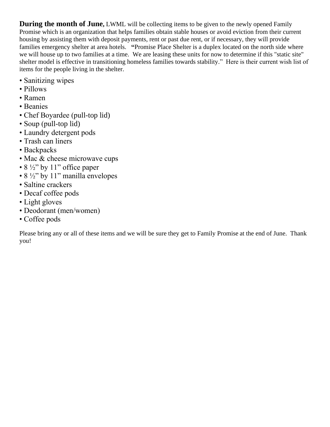**During the month of June, LWML will be collecting items to be given to the newly opened Family** Promise which is an organization that helps families obtain stable houses or avoid eviction from their current housing by assisting them with deposit payments, rent or past due rent, or if necessary, they will provide families emergency shelter at area hotels. **"**Promise Place Shelter is a duplex located on the north side where we will house up to two families at a time. We are leasing these units for now to determine if this "static site" shelter model is effective in transitioning homeless families towards stability." Here is their current wish list of items for the people living in the shelter.

- Sanitizing wipes
- Pillows
- Ramen
- Beanies
- Chef Boyardee (pull-top lid)
- Soup (pull-top lid)
- Laundry detergent pods
- Trash can liners
- Backpacks
- Mac & cheese microwave cups
- $8\frac{1}{2}$ " by 11" office paper
- $8\frac{1}{2}$ " by 11" manilla envelopes
- Saltine crackers
- Decaf coffee pods
- Light gloves
- Deodorant (men/women)
- Coffee pods

Please bring any or all of these items and we will be sure they get to Family Promise at the end of June. Thank you!